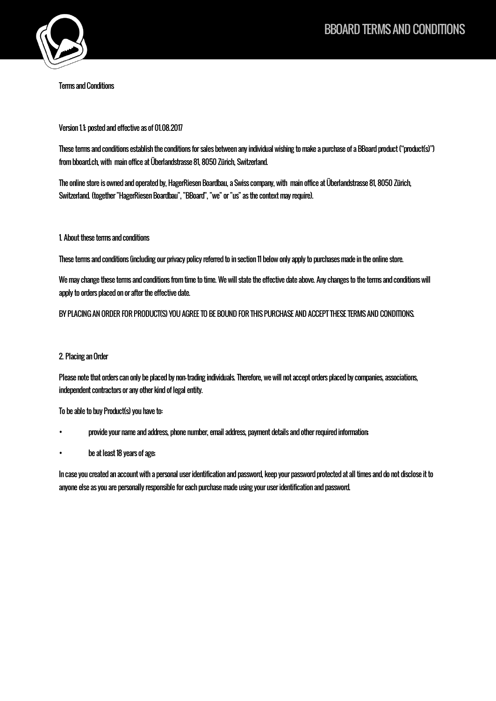

Terms and Conditions

Version 1.1; posted and effective as of 01.08.2017

These terms and conditions establish the conditions for sales between any individual wishing to make a purchase of a BBoard product("product(s)") from bboard.ch, with main office at Überlandstrasse 81, 8050 Zürich, Switzerland.

The online store is owned and operated by, HagerRiesen Boardbau, a Swiss company, with main office at Überlandstrasse 81, 8050 Zürich, Switzerland. (together "HagerRiesen Boardbau", "BBoard", "we" or "us" as the context may require).

### 1. About these terms and conditions

These terms and conditions (including our privacy policy referred to in section 11 below only apply to purchases made in the online store.

We may change these terms and conditions from time to time. We will state the effective date above. Any changes to the terms and conditions will apply to orders placed on or after the effective date.

BY PLACING AN ORDER FOR PRODUCT(S) YOU AGREE TO BE BOUND FOR THIS PURCHASE AND ACCEPT THESE TERMS AND CONDITIONS.

## 2. Placing an Order

Please note that orders can only be placed by non-trading individuals. Therefore, we will not accept orders placed by companies, associations, independent contractors or any other kind of legal entity.

To be able to buy Product(s) you have to:

- provide your name and address, phone number, email address, payment details and other required information;
- be at least 18 years of age;

In case you created an account with a personal user identification and password, keep your password protected atall times and do not disclose it to anyone else as you are personally responsible for each purchase made using your user identification and password.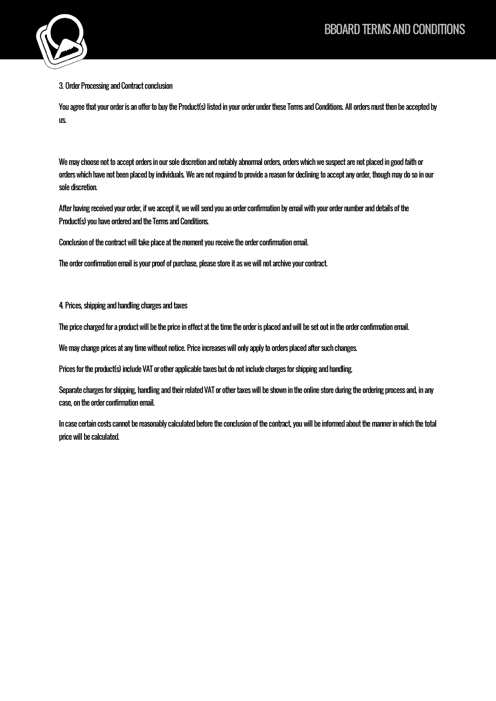

3. Order Processing and Contract conclusion

You agree that your order is an offer to buy the Product(s) listed in your order under these Terms and Conditions. All orders must then be accepted by us.

We may choose not to accept orders in our sole discretion and notably abnormal orders, orders which we suspect are not placedin good faith or orders which have not been placed by individuals. We are not required to provide a reason for declining to accept any order, though may do so in our sole discretion.

After having received your order, if we accept it, we will send you an order confirmation by email with your order number and details of the Product(s) you have orderedand the Terms and Conditions.

Conclusion of the contract will take place at the moment you receive the order confirmation email.

The order confirmation email is your proof of purchase, please store it as we will not archive your contract.

4. Prices, shipping and handling charges and taxes

The price charged for a product will be the price in effect at the time the order is placed and will be set out in the order confirmation email.

We may change prices at any time without notice. Price increases will only apply to orders placed after such changes.

Prices for the product(s) include VAT or other applicable taxes but do not include charges for shipping and handling.

Separate charges for shipping, handling and their related VAT or other taxes will be shown in the online store during the ordering process and, in any case, on the order confirmation email.

In case certain costs cannot be reasonably calculated before the conclusion of the contract, you will be informed about the manner in which the total price will be calculated.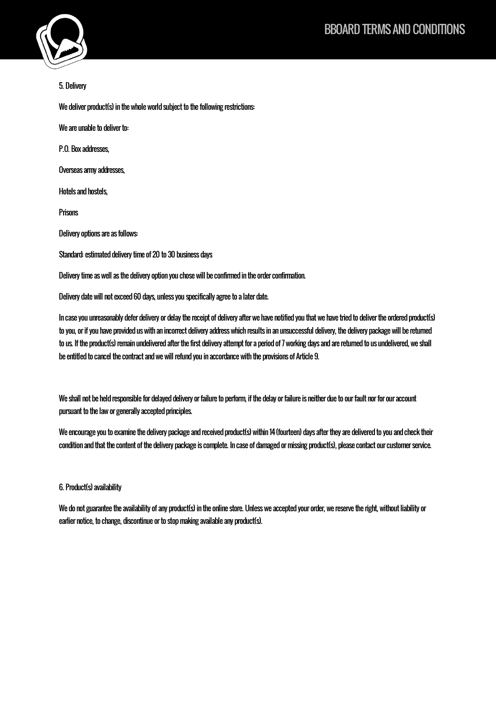

5. Delivery

We deliver product(s) in the whole world subject to the following restrictions:

We are unable to deliver to:

P.O. Box addresses,

Overseas army addresses,

Hotels and hostels,

**Prisons** 

Delivery options are as follows:

Standard: estimated delivery time of 20 to 30 business days

Delivery time as well as the delivery option you chose will be confirmed in the order confirmation.

Delivery date will not exceed 60 days, unless you specifically agree to a later date.

In case you unreasonably defer delivery or delay the receipt of delivery after we have notified you that we have tried to deliver the ordered product(s) to you, or if you have provided us with an incorrect delivery address which results in an unsuccessful delivery, the delivery package will be returned to us. If the product(s) remain undelivered after the first delivery attempt for a period of 7 working days and are returned to us undelivered, we shall be entitled to cancel the contract and we will refundyou in accordance with the provisions of Article 9.

We shall not be held responsible for delayed delivery or failure to perform, if the delay or failure is neither due to our fault nor for our account pursuant to the law or generally accepted principles.

We encourage you to examine the delivery package and received product(s) within 14 (fourteen) days after they are delivered to you and check their condition and that the content of the delivery package is complete. In case of damaged or missing product(s), please contact our customer service.

6. Product(s) availability

We do not guarantee the availability of any product(s) in the online store. Unless we accepted your order, we reserve the right, without liability or earlier notice, to change, discontinue or to stop making available any product(s).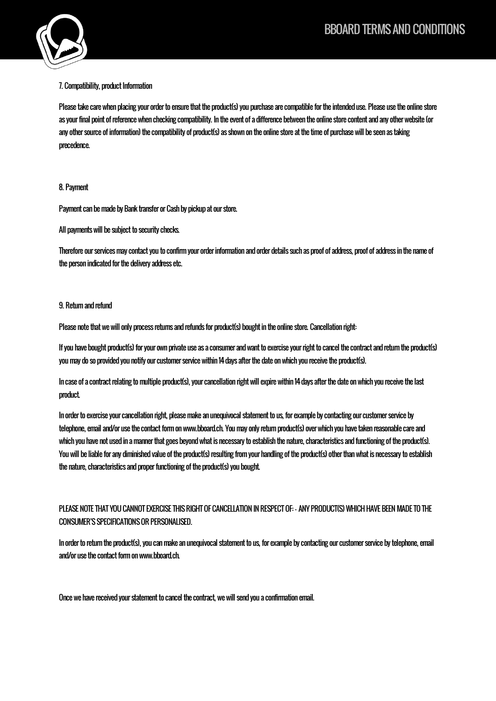

### 7. Compatibility, product Information

Please take care when placing your order to ensure that the product(s) you purchase are compatible for the intended use. Please use the online store as your final point of reference when checking compatibility. In the event of a difference between the online store content and any other website (or any other source of information) the compatibility of product(s) as shown on the online store at the time of purchase will be seen as taking precedence.

#### 8. Payment

Payment can be made by Bank transfer or Cash by pickup at our store.

All payments will be subject to security checks.

Therefore our services may contact you to confirm your order information and order details such as proof of address, proof of address in the name of the person indicated for the delivery address etc.

#### 9. Return and refund

Please note that we will only process returns and refunds for product(s) bought in the online store. Cancellation right:

If you have bought product(s) for your own private use as a consumer and want to exercise your right to cancel the contract and return the product(s) you may do so provided you notify our customer service within 14 days after the date on which you receive the product(s).

In case of a contract relating to multiple product(s), your cancellation right will expire within 14 days after the date on which you receive the last product.

In order to exercise your cancellation right, please make an unequivocal statement to us, for example by contacting our customer service by telephone, email and/or use the contact form on www.bboard.ch. You may only return product(s) over which you have taken reasonable care and which you have not used in a manner that goes beyond what is necessary to establish the nature, characteristics and functioning of the product(s). You will be liable for any diminished value of the product(s) resulting from your handling of the product(s) other than what is necessary to establish the nature, characteristics and proper functioning of the product(s) you bought.

# PLEASE NOTE THAT YOU CANNOT EXERCISE THIS RIGHT OF CANCELLATION IN RESPECT OF: - ANY PRODUCT(S) WHICH HAVE BEEN MADE TO THE CONSUMER'S SPECIFICATIONS OR PERSONALISED.

In order to return the product(s), you can make an unequivocal statement to us, for example by contacting our customer service by telephone, email and/or use the contact form on www.bboard.ch.

Once we have received your statement to cancel the contract, we will send you a confirmation email.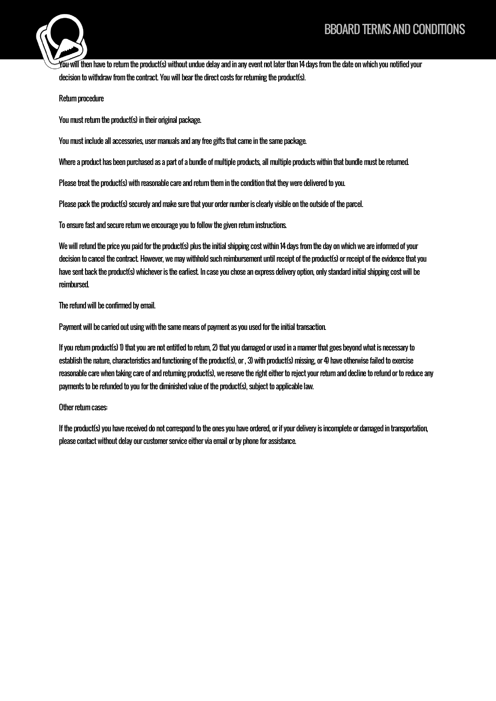# BBOARD TERMS AND CONDITIONS



You will then have to return the product(s) without undue delay and in any event not later than 14 days from the date on which you notified your decision to withdraw from the contract. You will bear the direct costs for returning the product(s).

Return procedure

You must return the product(s) in their original package.

You must include all accessories, user manuals and any free gifts that came in the same package.

Where a product has been purchased as a part of a bundle of multiple products, all multiple products within that bundle must be returned.

Please treat the product(s) with reasonable care and return them in the condition that they were delivered to you.

Please pack the product(s) securely and make sure that your order number is clearly visible on the outside of the parcel.

To ensure fast and secure return we encourage you to followthe given return instructions.

We will refund the price you paid for the product(s) plus the initial shipping cost within 14 days from the day on which we are informed of your decision to cancel the contract. However, we may withhold such reimbursement until receipt of the product(s) or receipt of the evidence that you have sent back the product(s) whichever is the earliest. In case you chose an express delivery option, only standard initial shipping cost will be reimbursed.

The refund will be confirmed by email.

Payment will be carried out using with the same means of payment as you used for the initial transaction.

If you return product(s) 1) that you are not entitled to return, 2) that you damaged or used in a manner that goes beyond what is necessary to establish the nature, characteristics and functioning of the product(s), or , 3) with product(s) missing, or 4) have otherwise failed to exercise reasonable care when taking care of and returning product(s), we reserve the right either to reject your return and decline to refund or to reduce any payments to be refunded to you for the diminished value of the product(s), subject to applicable law.

#### Other return cases:

If the product(s) you have received do not correspond to the ones you have ordered, or if your delivery is incomplete or damaged in transportation, please contact without delay our customer service either via email or by phone for assistance.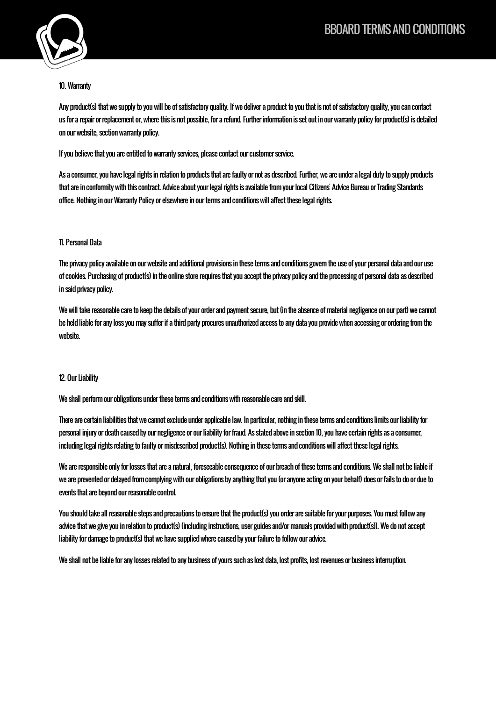

# 10. Warranty

Any product(s) that we supply to you will be of satisfactory quality. If we deliver a product to you that is not of satisfactory quality, you can contact us for a repair or replacement or, where this is not possible, for a refund. Further information is set out in our warranty policy for product(s) is detailed on our website, section warranty policy.

If you believe that you are entitled to warranty services, please contact our customer service.

As a consumer, you have legal rights in relation to products that are faulty or not as described. Further, we are under a legal duty to supply products that are in conformity with this contract. Advice about your legal rights is available from your local Citizens' Advice Bureau or Trading Standards office. Nothing in our Warranty Policy or elsewhere in our terms and conditions will affect these legal rights.

# 11. Personal Data

The privacy policy available on our website and additional provisions in these terms and conditions govern the use of your personal data and our use of cookies. Purchasing of product(s) in the online store requires that you accept the privacy policy and the processing of personal data as described in said privacy policy.

We will take reasonable care to keep the details of your order and payment secure, but (in the absence of material negligence on our part) we cannot be held liable for any loss you may suffer if a third party procures unauthorized access to any data you provide when accessing or ordering from the website.

## 12. Our Liability

We shall perform our obligations under these terms and conditions with reasonable care and skill.

There are certain liabilities that we cannot exclude under applicable law. In particular, nothing in these terms and conditions limits our liability for personal injury or death caused by our negligence or our liability for fraud. As stated above in section 10, you have certain rights as a consumer, including legal rights relating to faulty or misdescribed product(s). Nothing in these terms and conditions will affect these legal rights.

We are responsible only for losses that are a natural, foreseeable consequence of our breach of these terms and conditions. We shall not be liable if we are prevented or delayed from complying with our obligations by anything that you (or anyone acting on your behalf) does or fails to do or due to events that are beyond our reasonable control.

You should take all reasonable steps and precautions to ensure that the product(s) you order are suitable for your purposes. You must follow any advice that we give you in relation to product(s)(including instructions, user guides and/or manuals provided with product(s)). We do not accept liability for damage to product(s) that we have supplied where caused by your failure to follow our advice.

We shall not be liable for any losses related to any business of yours such as lost data, lost profits, lost revenues or business interruption.